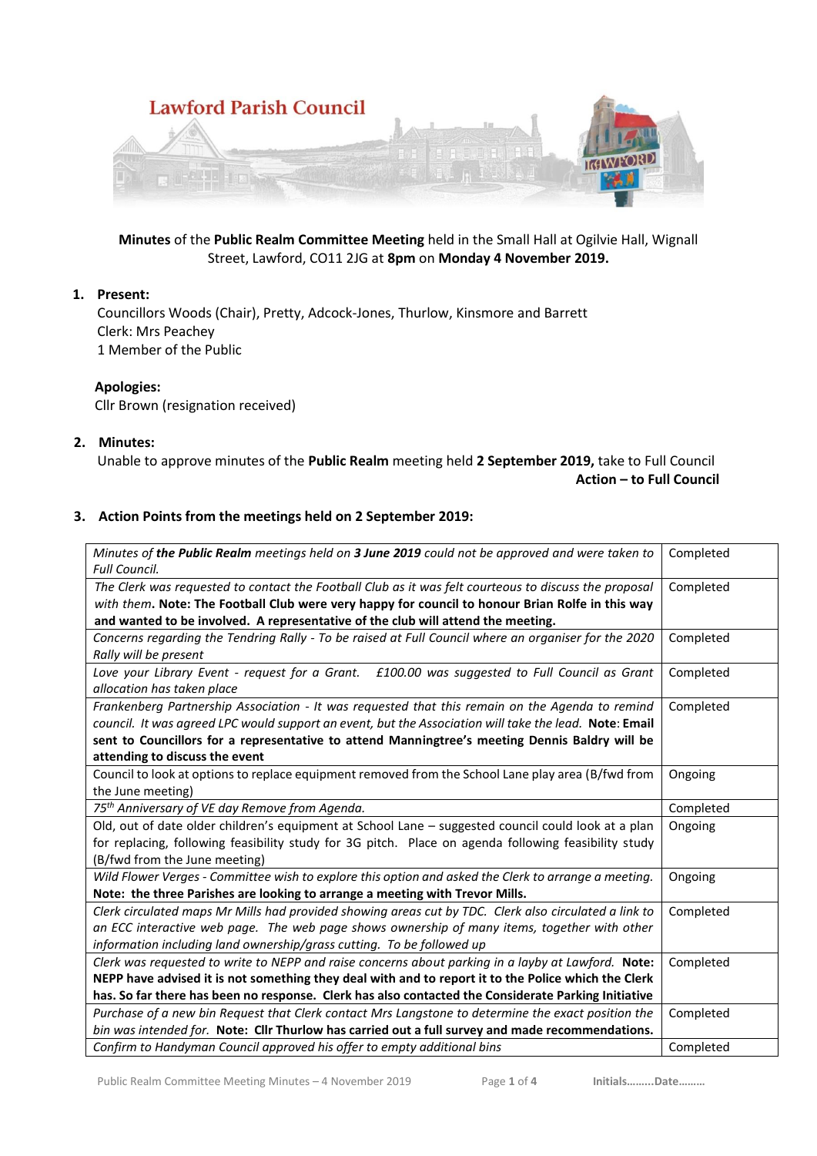

**Minutes** of the **Public Realm Committee Meeting** held in the Small Hall at Ogilvie Hall, Wignall Street, Lawford, CO11 2JG at **8pm** on **Monday 4 November 2019.**

# **1. Present:**

Councillors Woods (Chair), Pretty, Adcock-Jones, Thurlow, Kinsmore and Barrett Clerk: Mrs Peachey 1 Member of the Public

# **Apologies:**

Cllr Brown (resignation received)

## **2. Minutes:**

Unable to approve minutes of the **Public Realm** meeting held **2 September 2019,** take to Full Council **Action – to Full Council**

#### **3. Action Points from the meetings held on 2 September 2019:**

| Minutes of the Public Realm meetings held on 3 June 2019 could not be approved and were taken to<br><b>Full Council.</b>     | Completed |
|------------------------------------------------------------------------------------------------------------------------------|-----------|
| The Clerk was requested to contact the Football Club as it was felt courteous to discuss the proposal                        | Completed |
| with them. Note: The Football Club were very happy for council to honour Brian Rolfe in this way                             |           |
| and wanted to be involved. A representative of the club will attend the meeting.                                             |           |
| Concerns regarding the Tendring Rally - To be raised at Full Council where an organiser for the 2020                         | Completed |
| Rally will be present                                                                                                        |           |
| Love your Library Event - request for a Grant.  £100.00 was suggested to Full Council as Grant<br>allocation has taken place | Completed |
| Frankenberg Partnership Association - It was requested that this remain on the Agenda to remind                              | Completed |
| council. It was agreed LPC would support an event, but the Association will take the lead. Note: Email                       |           |
| sent to Councillors for a representative to attend Manningtree's meeting Dennis Baldry will be                               |           |
| attending to discuss the event                                                                                               |           |
| Council to look at options to replace equipment removed from the School Lane play area (B/fwd from                           | Ongoing   |
| the June meeting)                                                                                                            |           |
| 75 <sup>th</sup> Anniversary of VE day Remove from Agenda.                                                                   | Completed |
| Old, out of date older children's equipment at School Lane - suggested council could look at a plan                          | Ongoing   |
| for replacing, following feasibility study for 3G pitch. Place on agenda following feasibility study                         |           |
| (B/fwd from the June meeting)                                                                                                |           |
| Wild Flower Verges - Committee wish to explore this option and asked the Clerk to arrange a meeting.                         | Ongoing   |
| Note: the three Parishes are looking to arrange a meeting with Trevor Mills.                                                 |           |
| Clerk circulated maps Mr Mills had provided showing areas cut by TDC. Clerk also circulated a link to                        | Completed |
| an ECC interactive web page. The web page shows ownership of many items, together with other                                 |           |
| information including land ownership/grass cutting. To be followed up                                                        |           |
| Clerk was requested to write to NEPP and raise concerns about parking in a layby at Lawford. Note:                           | Completed |
| NEPP have advised it is not something they deal with and to report it to the Police which the Clerk                          |           |
| has. So far there has been no response. Clerk has also contacted the Considerate Parking Initiative                          |           |
| Purchase of a new bin Request that Clerk contact Mrs Langstone to determine the exact position the                           | Completed |
| bin was intended for. Note: Cllr Thurlow has carried out a full survey and made recommendations.                             |           |
|                                                                                                                              |           |
| Confirm to Handyman Council approved his offer to empty additional bins                                                      | Completed |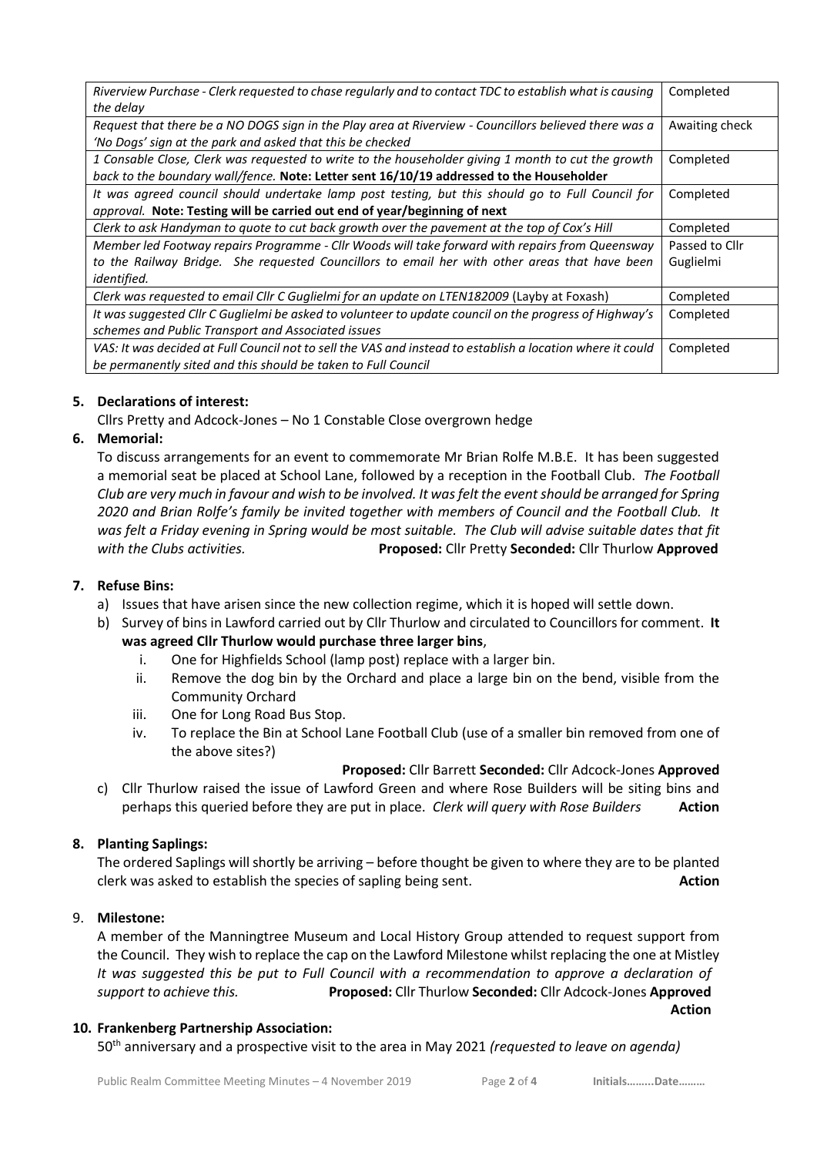| Riverview Purchase - Clerk requested to chase regularly and to contact TDC to establish what is causing    | Completed                                                                                                                                                                                                                                                                                                                                                                            |
|------------------------------------------------------------------------------------------------------------|--------------------------------------------------------------------------------------------------------------------------------------------------------------------------------------------------------------------------------------------------------------------------------------------------------------------------------------------------------------------------------------|
|                                                                                                            |                                                                                                                                                                                                                                                                                                                                                                                      |
|                                                                                                            | Awaiting check                                                                                                                                                                                                                                                                                                                                                                       |
|                                                                                                            |                                                                                                                                                                                                                                                                                                                                                                                      |
| 1 Consable Close, Clerk was requested to write to the householder giving 1 month to cut the growth         | Completed                                                                                                                                                                                                                                                                                                                                                                            |
| back to the boundary wall/fence. Note: Letter sent 16/10/19 addressed to the Householder                   |                                                                                                                                                                                                                                                                                                                                                                                      |
|                                                                                                            | Completed                                                                                                                                                                                                                                                                                                                                                                            |
| approval. Note: Testing will be carried out end of year/beginning of next                                  |                                                                                                                                                                                                                                                                                                                                                                                      |
| Clerk to ask Handyman to quote to cut back growth over the pavement at the top of Cox's Hill               | Completed                                                                                                                                                                                                                                                                                                                                                                            |
| Member led Footway repairs Programme - Cllr Woods will take forward with repairs from Queensway            | Passed to Cllr                                                                                                                                                                                                                                                                                                                                                                       |
|                                                                                                            | Guglielmi                                                                                                                                                                                                                                                                                                                                                                            |
| identified.                                                                                                |                                                                                                                                                                                                                                                                                                                                                                                      |
| Clerk was requested to email Cllr C Guglielmi for an update on LTEN182009 (Layby at Foxash)                | Completed                                                                                                                                                                                                                                                                                                                                                                            |
| It was suggested ClIr C Guglielmi be asked to volunteer to update council on the progress of Highway's     | Completed                                                                                                                                                                                                                                                                                                                                                                            |
| schemes and Public Transport and Associated issues                                                         |                                                                                                                                                                                                                                                                                                                                                                                      |
| VAS: It was decided at Full Council not to sell the VAS and instead to establish a location where it could | Completed                                                                                                                                                                                                                                                                                                                                                                            |
| be permanently sited and this should be taken to Full Council                                              |                                                                                                                                                                                                                                                                                                                                                                                      |
|                                                                                                            | the delay<br>Request that there be a NO DOGS sign in the Play area at Riverview - Councillors believed there was a<br>'No Dogs' sign at the park and asked that this be checked<br>It was agreed council should undertake lamp post testing, but this should go to Full Council for<br>to the Railway Bridge. She requested Councillors to email her with other areas that have been |

# **5. Declarations of interest:**

Cllrs Pretty and Adcock-Jones – No 1 Constable Close overgrown hedge

# **6. Memorial:**

To discuss arrangements for an event to commemorate Mr Brian Rolfe M.B.E. It has been suggested a memorial seat be placed at School Lane, followed by a reception in the Football Club. *The Football Club are very much in favour and wish to be involved. It was felt the event should be arranged for Spring 2020 and Brian Rolfe's family be invited together with members of Council and the Football Club. It was felt a Friday evening in Spring would be most suitable. The Club will advise suitable dates that fit with the Clubs activities.* **Proposed:** Cllr Pretty **Seconded:** Cllr Thurlow **Approved**

# **7. Refuse Bins:**

- a) Issues that have arisen since the new collection regime, which it is hoped will settle down.
- b) Survey of bins in Lawford carried out by Cllr Thurlow and circulated to Councillors for comment. **It was agreed Cllr Thurlow would purchase three larger bins**,
	- i. One for Highfields School (lamp post) replace with a larger bin.
	- ii. Remove the dog bin by the Orchard and place a large bin on the bend, visible from the Community Orchard
	- iii. One for Long Road Bus Stop.
	- iv. To replace the Bin at School Lane Football Club (use of a smaller bin removed from one of the above sites?)

## **Proposed:** Cllr Barrett **Seconded:** Cllr Adcock-Jones **Approved**

c) Cllr Thurlow raised the issue of Lawford Green and where Rose Builders will be siting bins and perhaps this queried before they are put in place. *Clerk will query with Rose Builders* **Action**

# **8. Planting Saplings:**

The ordered Saplings will shortly be arriving – before thought be given to where they are to be planted clerk was asked to establish the species of sapling being sent. **Action**

## 9. **Milestone:**

A member of the Manningtree Museum and Local History Group attended to request support from the Council. They wish to replace the cap on the Lawford Milestone whilst replacing the one at Mistley *It was suggested this be put to Full Council with a recommendation to approve a declaration of support to achieve this.* **Proposed:** Cllr Thurlow **Seconded:** Cllr Adcock-Jones **Approved Action**

## **10. Frankenberg Partnership Association:**

50th anniversary and a prospective visit to the area in May 2021 *(requested to leave on agenda)*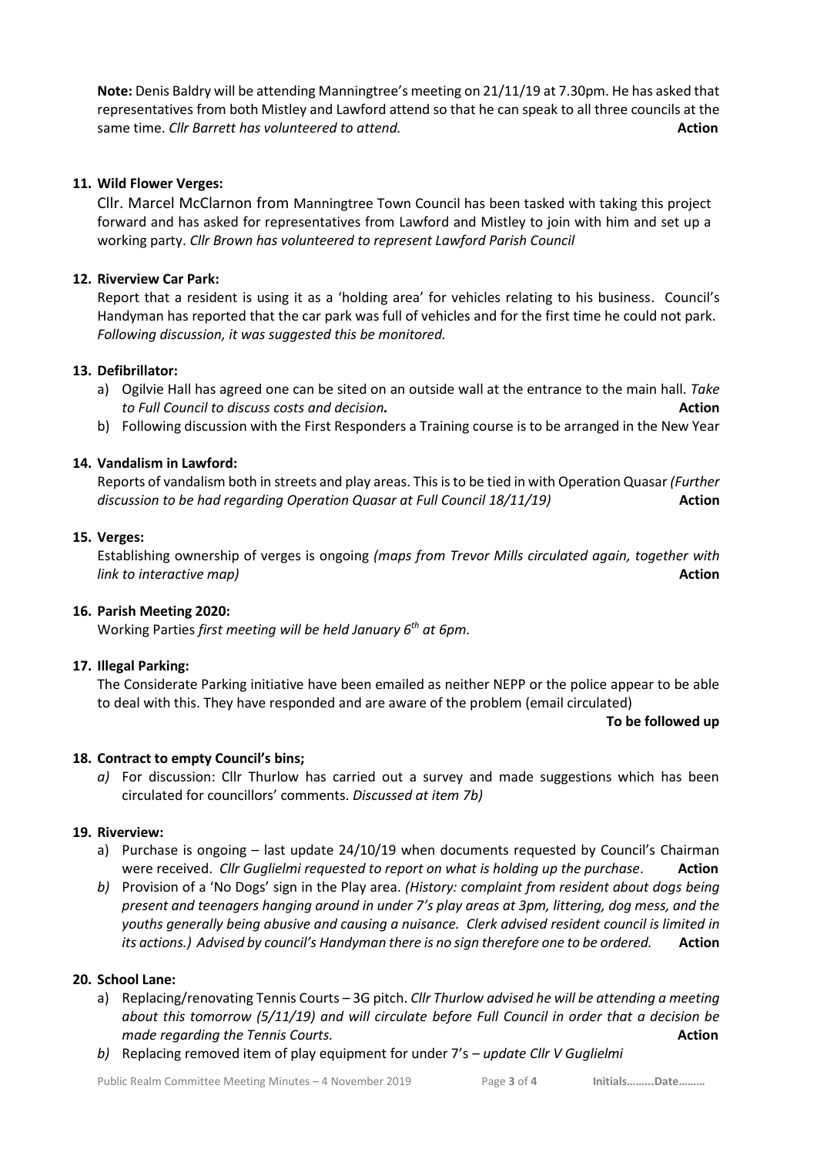**Note:** Denis Baldry will be attending Manningtree's meeting on 21/11/19 at 7.30pm. He has asked that representatives from both Mistley and Lawford attend so that he can speak to all three councils at the same time. *Cllr Barrett has volunteered to attend.* **Action Action Action** 

# **11. Wild Flower Verges:**

Cllr. Marcel McClarnon from Manningtree Town Council has been tasked with taking this project forward and has asked for representatives from Lawford and Mistley to join with him and set up a working party. *Cllr Brown has volunteered to represent Lawford Parish Council*

# **12. Riverview Car Park:**

Report that a resident is using it as a 'holding area' for vehicles relating to his business. Council's Handyman has reported that the car park was full of vehicles and for the first time he could not park. *Following discussion, it was suggested this be monitored.*

# **13. Defibrillator:**

- a) Ogilvie Hall has agreed one can be sited on an outside wall at the entrance to the main hall. *Take to Full Council to discuss costs and decision.* **Action**
- b) Following discussion with the First Responders a Training course is to be arranged in the New Year

# **14. Vandalism in Lawford:**

Reports of vandalism both in streets and play areas. This is to be tied in with Operation Quasar *(Further discussion to be had regarding Operation Quasar at Full Council 18/11/19)* **Action** 

## **15. Verges:**

Establishing ownership of verges is ongoing *(maps from Trevor Mills circulated again, together with link to interactive map)* **Action**

## **16. Parish Meeting 2020:**

Working Parties *first meeting will be held January 6th at 6pm.*

# **17. Illegal Parking:**

The Considerate Parking initiative have been emailed as neither NEPP or the police appear to be able to deal with this. They have responded and are aware of the problem (email circulated)

#### **To be followed up**

# **18. Contract to empty Council's bins;**

*a)* For discussion: Cllr Thurlow has carried out a survey and made suggestions which has been circulated for councillors' comments. *Discussed at item 7b)*

## **19. Riverview:**

- a) Purchase is ongoing last update 24/10/19 when documents requested by Council's Chairman were received. *Cllr Guglielmi requested to report on what is holding up the purchase*. **Action**
- *b)* Provision of a 'No Dogs' sign in the Play area. *(History: complaint from resident about dogs being present and teenagers hanging around in under 7's play areas at 3pm, littering, dog mess, and the youths generally being abusive and causing a nuisance. Clerk advised resident council is limited in its actions.) Advised by council's Handyman there is no sign therefore one to be ordered.* **Action**

## **20. School Lane:**

- a) Replacing/renovating Tennis Courts 3G pitch. *Cllr Thurlow advised he will be attending a meeting about this tomorrow (5/11/19) and will circulate before Full Council in order that a decision be made regarding the Tennis Courts.* **<b>Action** *Action* **Action Action**
- *b)* Replacing removed item of play equipment for under 7's *update Cllr V Guglielmi*